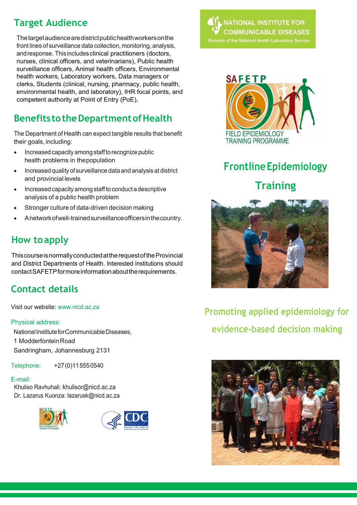## Target Audience

The target audience are district public health workers on the front lines of surveillance data collection, monitoring, analysis, and response. This includes clinical practitioners (doctors, nurses, clinical officers, and veterinarians), Public health surveillance officers, Animal health officers, Environmental health workers, Laboratory workers, Data managers or clerks, Students (clinical, nursing, pharmacy, public health, environmental health, and laboratory), IHR focal points, and competent authority at Point of Entry (PoE),

## Benefits to the Department of Health

The Department of Health can expect tangible results that benefit their goals, including:

- Increased capacity among staff to recognize public health problems in the population
- Increased quality of surveillance data and analysis at district and provincial levels
- Increased capacity among staff to conduct a descriptive analysis of a public health problem
- Stronger culture of data-driven decision making
- A network of well-trained surveillance officers in the country.

## How to apply

This course is normally conducted at the request of the Provincial and District Departments of Health. Interested institutions should contact SAFETP for more information about the requirements.

## Contact details

Visit our website: www.nicd.ac.za

### Physical address:

National Institute for Communicable Diseases, 1 Modderfontein Road Sandringham, Johannesburg 2131

Telephone: +27 (0)11 555 0540

### E-mail:

Khuliso Ravhuhali: khulisor@nicd.ac.za Dr. Lazarus Kuonza: lazarusk@nicd.ac.za









# Frontline Epidemiology **Training**



## Promoting applied epidemiology for evidence-based decision making